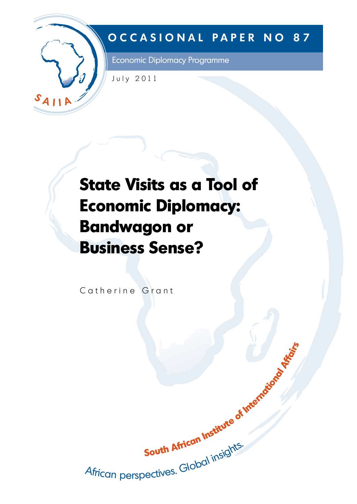

# **OCCASIONAL PAPER NO 87**

Economic Diplomacy Programme

July 2011

# **State Visits as a Tool of Economic Diplomacy: Bandwagon or Business Sense?**

Catherine Grant

South African Institute of International Attacks Juun musiques.<br>African perspectives. Global insights.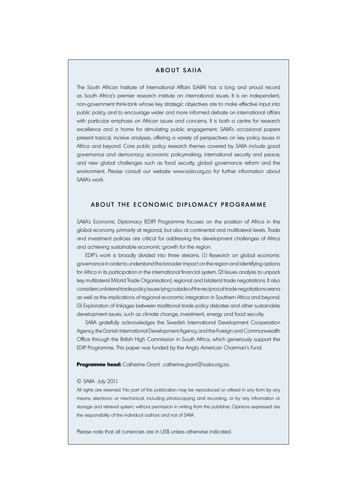# About SAIIA

The South African Institute of International Affairs (SAIIA) has a long and proud record as South Africa's premier research institute on international issues. It is an independent, non-government think-tank whose key strategic objectives are to make effective input into public policy, and to encourage wider and more informed debate on international affairs with particular emphasis on African issues and concerns. It is both a centre for research excellence and a home for stimulating public engagement. SAIIA's occasional papers present topical, incisive analyses, offering a variety of perspectives on key policy issues in Africa and beyond. Core public policy research themes covered by SAIIA include good governance and democracy; economic policymaking; international security and peace; and new global challenges such as food security, global governance reform and the environment. Please consult our website www.saiia.org.za for further information about SAIIA's work.

# ABOUT THE ECONOMIC DIPLOMACY PROGRAMME

SAIIA's Economic Diplomacy (EDIP) Programme focuses on the position of Africa in the global economy, primarily at regional, but also at continental and multilateral levels. Trade and investment policies are critical for addressing the development challenges of Africa and achieving sustainable economic growth for the region.

EDIP's work is broadly divided into three streams. (1) Research on global economic governance in order to understand the broader impact on the region and identifying options for Africa in its participation in the international financial system. (2) Issues analysis to unpack key multilateral (World Trade Organisation), regional and bilateral trade negotiations. It also considers unilateral trade policy issues lying outside of the reciprocal trade negotiations arena as well as the implications of regional economic integration in Southern Africa and beyond. (3) Exploration of linkages between traditional trade policy debates and other sustainable development issues, such as climate change, investment, energy and food security.

SAIIA gratefully acknowledges the Swedish International Development Cooperation Agency, the Danish International Development Agency, and the Foreign and Commonwealth Office through the British High Commission in South Africa, which generously support the EDIP Programme. This paper was funded by the Anglo American Chairman's Fund.

**Programme head:** Catherine Grant catherine.grant@saiia.org.za

#### © SAIIA July 2011

All rights are reserved. No part of this publication may be reproduced or utilised in any form by any means, electronic or mechanical, including photocopying and recording, or by any information or storage and retrieval system, without permission in writing from the publisher. Opinions expressed are the responsibility of the individual authors and not of SAIIA.

Please note that all currencies are in US\$ unless otherwise indicated.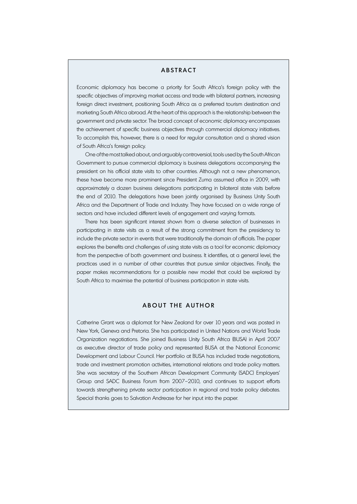#### **ABSTRACT**

Economic diplomacy has become a priority for South Africa's foreign policy with the specific objectives of improving market access and trade with bilateral partners, increasing foreign direct investment, positioning South Africa as a preferred tourism destination and marketing South Africa abroad. At the heart of this approach is the relationship between the government and private sector. The broad concept of economic diplomacy encompasses the achievement of specific business objectives through commercial diplomacy initiatives. To accomplish this, however, there is a need for regular consultation and a shared vision of South Africa's foreign policy.

One of the most talked about, and arguably controversial, tools used by the South African Government to pursue commercial diplomacy is business delegations accompanying the president on his official state visits to other countries. Although not a new phenomenon, these have become more prominent since President Zuma assumed office in 2009, with approximately a dozen business delegations participating in bilateral state visits before the end of 2010. The delegations have been jointly organised by Business Unity South Africa and the Department of Trade and Industry. They have focused on a wide range of sectors and have included different levels of engagement and varying formats.

There has been significant interest shown from a diverse selection of businesses in participating in state visits as a result of the strong commitment from the presidency to include the private sector in events that were traditionally the domain of officials. The paper explores the benefits and challenges of using state visits as a tool for economic diplomacy from the perspective of both government and business. It identifies, at a general level, the practices used in a number of other countries that pursue similar objectives. Finally, the paper makes recommendations for a possible new model that could be explored by South Africa to maximise the potential of business participation in state visits.

# A BOUT THE A UTHOR

Catherine Grant was a diplomat for New Zealand for over 10 years and was posted in New York, Geneva and Pretoria. She has participated in United Nations and World Trade Organization negotiations. She joined Business Unity South Africa (BUSA) in April 2007 as executive director of trade policy and represented BUSA at the National Economic Development and Labour Council. Her portfolio at BUSA has included trade negotiations, trade and investment promotion activities, international relations and trade policy matters. She was secretary of the Southern African Development Community (SADC) Employers' Group and SADC Business Forum from 2007–2010, and continues to support efforts towards strengthening private sector participation in regional and trade policy debates. Special thanks goes to Salvation Andrease for her input into the paper.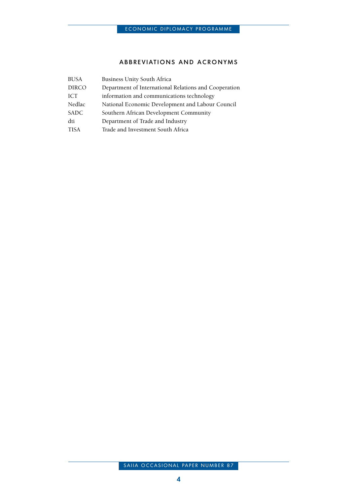# ABBREVIATIONS AND ACRONYMS

| <b>BUSA</b>  | <b>Business Unity South Africa</b>                    |  |  |
|--------------|-------------------------------------------------------|--|--|
| <b>DIRCO</b> | Department of International Relations and Cooperation |  |  |
| ICT          | information and communications technology             |  |  |
| Nedlac       | National Economic Development and Labour Council      |  |  |
| SADC         | Southern African Development Community                |  |  |
| dti          | Department of Trade and Industry                      |  |  |
| <b>TISA</b>  | Trade and Investment South Africa                     |  |  |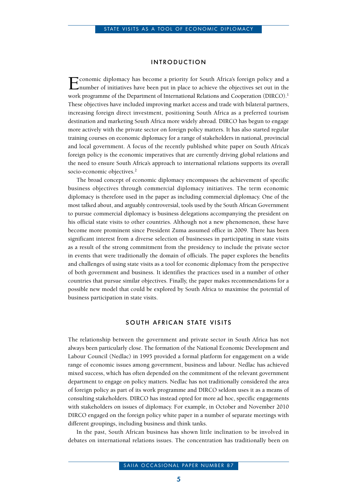#### INTRODUCTION

Economic diplomacy has become a priority for South Africa's foreign policy and a number of initiatives have been put in place to achieve the objectives set out in the work programme of the Department of International Relations and Cooperation (DIRCO).<sup>1</sup> These objectives have included improving market access and trade with bilateral partners, increasing foreign direct investment, positioning South Africa as a preferred tourism destination and marketing South Africa more widely abroad. DIRCO has begun to engage more actively with the private sector on foreign policy matters. It has also started regular training courses on economic diplomacy for a range of stakeholders in national, provincial and local government. A focus of the recently published white paper on South Africa's foreign policy is the economic imperatives that are currently driving global relations and the need to ensure South Africa's approach to international relations supports its overall socio-economic objectives.<sup>2</sup>

The broad concept of economic diplomacy encompasses the achievement of specific business objectives through commercial diplomacy initiatives. The term economic diplomacy is therefore used in the paper as including commercial diplomacy. One of the most talked about, and arguably controversial, tools used by the South African Government to pursue commercial diplomacy is business delegations accompanying the president on his official state visits to other countries. Although not a new phenomenon, these have become more prominent since President Zuma assumed office in 2009. There has been significant interest from a diverse selection of businesses in participating in state visits as a result of the strong commitment from the presidency to include the private sector in events that were traditionally the domain of officials. The paper explores the benefits and challenges of using state visits as a tool for economic diplomacy from the perspective of both government and business. It identifies the practices used in a number of other countries that pursue similar objectives. Finally, the paper makes recommendations for a possible new model that could be explored by South Africa to maximise the potential of business participation in state visits.

#### SOUTH AFRICAN STATE VISITS

The relationship between the government and private sector in South Africa has not always been particularly close. The formation of the National Economic Development and Labour Council (Nedlac) in 1995 provided a formal platform for engagement on a wide range of economic issues among government, business and labour. Nedlac has achieved mixed success, which has often depended on the commitment of the relevant government department to engage on policy matters. Nedlac has not traditionally considered the area of foreign policy as part of its work programme and DIRCO seldom uses it as a means of consulting stakeholders. DIRCO has instead opted for more ad hoc, specific engagements with stakeholders on issues of diplomacy. For example, in October and November 2010 DIRCO engaged on the foreign policy white paper in a number of separate meetings with different groupings, including business and think tanks.

In the past, South African business has shown little inclination to be involved in debates on international relations issues. The concentration has traditionally been on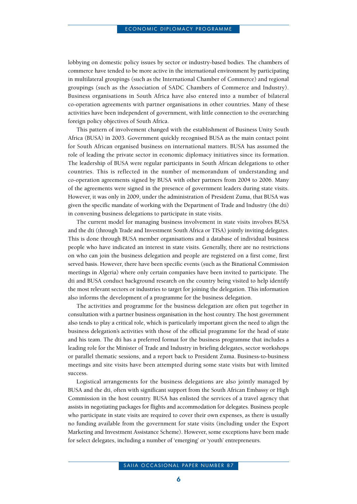lobbying on domestic policy issues by sector or industry-based bodies. The chambers of commerce have tended to be more active in the international environment by participating in multilateral groupings (such as the International Chamber of Commerce) and regional groupings (such as the Association of SADC Chambers of Commerce and Industry). Business organisations in South Africa have also entered into a number of bilateral co-operation agreements with partner organisations in other countries. Many of these activities have been independent of government, with little connection to the overarching foreign policy objectives of South Africa.

This pattern of involvement changed with the establishment of Business Unity South Africa (BUSA) in 2003. Government quickly recognised BUSA as the main contact point for South African organised business on international matters. BUSA has assumed the role of leading the private sector in economic diplomacy initiatives since its formation. The leadership of BUSA were regular participants in South African delegations to other countries. This is reflected in the number of memorandum of understanding and co-operation agreements signed by BUSA with other partners from 2004 to 2006. Many of the agreements were signed in the presence of government leaders during state visits. However, it was only in 2009, under the administration of President Zuma, that BUSA was given the specific mandate of working with the Department of Trade and Industry (the dti) in convening business delegations to participate in state visits.

The current model for managing business involvement in state visits involves BUSA and the dti (through Trade and Investment South Africa or TISA) jointly inviting delegates. This is done through BUSA member organisations and a database of individual business people who have indicated an interest in state visits. Generally, there are no restrictions on who can join the business delegation and people are registered on a first come, first served basis. However, there have been specific events (such as the Binational Commission meetings in Algeria) where only certain companies have been invited to participate. The dti and BUSA conduct background research on the country being visited to help identify the most relevant sectors or industries to target for joining the delegation. This information also informs the development of a programme for the business delegation.

The activities and programme for the business delegation are often put together in consultation with a partner business organisation in the host country. The host government also tends to play a critical role, which is particularly important given the need to align the business delegation's activities with those of the official programme for the head of state and his team. The dti has a preferred format for the business programme that includes a leading role for the Minister of Trade and Industry in briefing delegates, sector workshops or parallel thematic sessions, and a report back to President Zuma. Business-to-business meetings and site visits have been attempted during some state visits but with limited success.

Logistical arrangements for the business delegations are also jointly managed by BUSA and the dti, often with significant support from the South African Embassy or High Commission in the host country. BUSA has enlisted the services of a travel agency that assists in negotiating packages for flights and accommodation for delegates. Business people who participate in state visits are required to cover their own expenses, as there is usually no funding available from the government for state visits (including under the Export Marketing and Investment Assistance Scheme). However, some exceptions have been made for select delegates, including a number of 'emerging' or 'youth' entrepreneurs.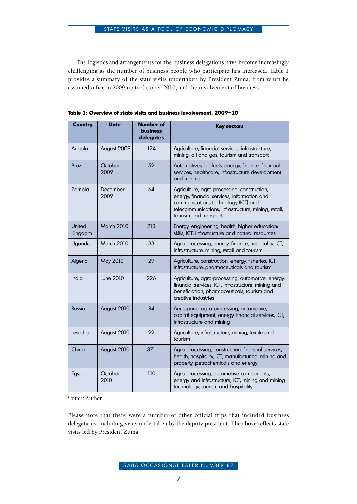The logistics and arrangements for the business delegations have become increasingly challenging as the number of business people who participate has increased. Table 1 provides a summary of the state visits undertaken by President Zuma, from when he assumed office in 2009 up to October 2010, and the involvement of business.

| Country           | <b>Date</b>       | <b>Number of</b><br><b>business</b><br>delegates | <b>Key sectors</b>                                                                                                                                                                                                |
|-------------------|-------------------|--------------------------------------------------|-------------------------------------------------------------------------------------------------------------------------------------------------------------------------------------------------------------------|
| Angola            | August 2009       | 124                                              | Agriculture, financial services, infrastructure,<br>mining, oil and gas, tourism and transport                                                                                                                    |
| <b>Brazil</b>     | October<br>2009   | 52                                               | Automotives, biofuels, energy, finance, financial<br>services, healthcare, infrastructure development<br>and mining                                                                                               |
| Zambia            | December<br>2009  | 64                                               | Agriculture, agro-processing, construction,<br>energy, financial services, information and<br>communications technology (ICT) and<br>telecommunications, infrastructure, mining, retail,<br>tourism and transport |
| United<br>Kingdom | <b>March 2010</b> | 213                                              | Energy, engineering, health, higher education/<br>skills, ICT, infrastructure and natural resources                                                                                                               |
| Uganda            | <b>March 2010</b> | 33                                               | Agro-processing, energy, finance, hospitality, ICT,<br>infrastructure, mining, retail and tourism                                                                                                                 |
| Algeria           | May 2010          | 29                                               | Agriculture, construction, energy, fisheries, ICT,<br>infrastructure, pharmaceuticals and tourism                                                                                                                 |
| India             | <b>June 2010</b>  | 226                                              | Agriculture, agro-processing, automotive, energy,<br>financial services, ICT, infrastructure, mining and<br>beneficiation, pharmaceuticals, tourism and<br>creative industries                                    |
| Russia            | August 2010       | 84                                               | Aerospace, agro-processing, automotive,<br>capital equipment, energy, financial services, ICT,<br>infrastructure and mining                                                                                       |
| Lesotho           | August 2010       | 22                                               | Agriculture, infrastructure, mining, textile and<br>tourism                                                                                                                                                       |
| China             | August 2010       | 371                                              | Agro-processing, construction, financial services,<br>health, hospitality, ICT, manufacturing, mining and<br>property, petrochemicals and energy                                                                  |
| Egypt             | October<br>2010   | 110                                              | Agro-processing, automotive components,<br>energy and infrastructure, ICT, mining and mining<br>technology, tourism and hospitality                                                                               |

**Table 1: Overview of state visits and business involvement, 2009–10**

Source: Author

Please note that there were a number of other official trips that included business delegations, including visits undertaken by the deputy president. The above reflects state visits led by President Zuma.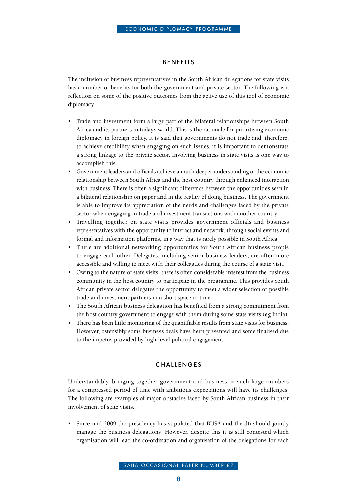# **BENEFITS**

The inclusion of business representatives in the South African delegations for state visits has a number of benefits for both the government and private sector. The following is a reflection on some of the positive outcomes from the active use of this tool of economic diplomacy.

- Trade and investment form a large part of the bilateral relationships between South Africa and its partners in today's world. This is the rationale for prioritising economic diplomacy in foreign policy. It is said that governments do not trade and, therefore, to achieve credibility when engaging on such issues, it is important to demonstrate a strong linkage to the private sector. Involving business in state visits is one way to accomplish this.
- Government leaders and officials achieve a much deeper understanding of the economic relationship between South Africa and the host country through enhanced interaction with business. There is often a significant difference between the opportunities seen in a bilateral relationship on paper and in the reality of doing business. The government is able to improve its appreciation of the needs and challenges faced by the private sector when engaging in trade and investment transactions with another country.
- Travelling together on state visits provides government officials and business representatives with the opportunity to interact and network, through social events and formal and information platforms, in a way that is rarely possible in South Africa.
- There are additional networking opportunities for South African business people to engage each other. Delegates, including senior business leaders, are often more accessible and willing to meet with their colleagues during the course of a state visit.
- • Owing to the nature of state visits, there is often considerable interest from the business community in the host country to participate in the programme. This provides South African private sector delegates the opportunity to meet a wider selection of possible trade and investment partners in a short space of time.
- The South African business delegation has benefited from a strong commitment from the host country government to engage with them during some state visits (eg India).
- There has been little monitoring of the quantifiable results from state visits for business. However, ostensibly some business deals have been presented and some finalised due to the impetus provided by high-level political engagement.

# CHALL ENGES

Understandably, bringing together government and business in such large numbers for a compressed period of time with ambitious expectations will have its challenges. The following are examples of major obstacles faced by South African business in their involvement of state visits.

Since mid-2009 the presidency has stipulated that BUSA and the dti should jointly manage the business delegations. However, despite this it is still contested which organisation will lead the co-ordination and organisation of the delegations for each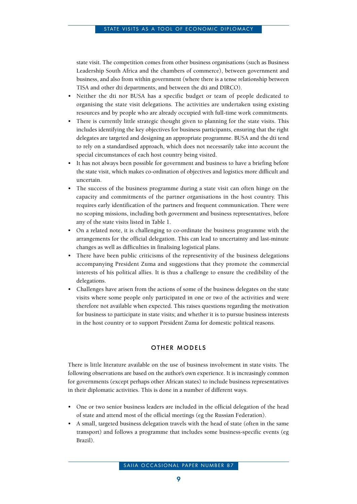state visit. The competition comes from other business organisations (such as Business Leadership South Africa and the chambers of commerce), between government and business, and also from within government (where there is a tense relationship between TISA and other dti departments, and between the dti and DIRCO).

- Neither the dti nor BUSA has a specific budget or team of people dedicated to organising the state visit delegations. The activities are undertaken using existing resources and by people who are already occupied with full-time work commitments.
- There is currently little strategic thought given to planning for the state visits. This includes identifying the key objectives for business participants, ensuring that the right delegates are targeted and designing an appropriate programme. BUSA and the dti tend to rely on a standardised approach, which does not necessarily take into account the special circumstances of each host country being visited.
- It has not always been possible for government and business to have a briefing before the state visit, which makes co-ordination of objectives and logistics more difficult and uncertain.
- The success of the business programme during a state visit can often hinge on the capacity and commitments of the partner organisations in the host country. This requires early identification of the partners and frequent communication. There were no scoping missions, including both government and business representatives, before any of the state visits listed in Table 1.
- • On a related note, it is challenging to co-ordinate the business programme with the arrangements for the official delegation. This can lead to uncertainty and last-minute changes as well as difficulties in finalising logistical plans.
- There have been public criticisms of the representivity of the business delegations accompanying President Zuma and suggestions that they promote the commercial interests of his political allies. It is thus a challenge to ensure the credibility of the delegations.
- Challenges have arisen from the actions of some of the business delegates on the state visits where some people only participated in one or two of the activities and were therefore not available when expected. This raises questions regarding the motivation for business to participate in state visits; and whether it is to pursue business interests in the host country or to support President Zuma for domestic political reasons.

# **OTHER MODELS**

There is little literature available on the use of business involvement in state visits. The following observations are based on the author's own experience. It is increasingly common for governments (except perhaps other African states) to include business representatives in their diplomatic activities. This is done in a number of different ways.

- One or two senior business leaders are included in the official delegation of the head of state and attend most of the official meetings (eg the Russian Federation).
- • A small, targeted business delegation travels with the head of state (often in the same transport) and follows a programme that includes some business-specific events (eg Brazil).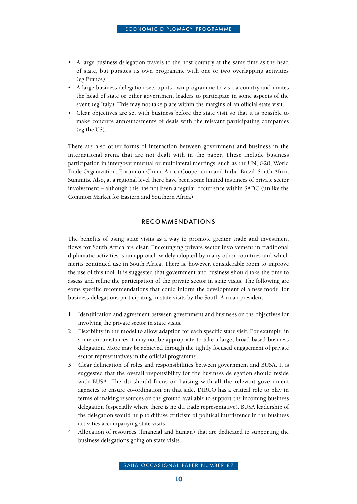- A large business delegation travels to the host country at the same time as the head of state, but pursues its own programme with one or two overlapping activities (eg France).
- • A large business delegation sets up its own programme to visit a country and invites the head of state or other government leaders to participate in some aspects of the event (eg Italy). This may not take place within the margins of an official state visit.
- Clear objectives are set with business before the state visit so that it is possible to make concrete announcements of deals with the relevant participating companies (eg the US).

There are also other forms of interaction between government and business in the international arena that are not dealt with in the paper. These include business participation in intergovernmental or multilateral meetings, such as the UN, G20, World Trade Organization, Forum on China–Africa Cooperation and India–Brazil–South Africa Summits. Also, at a regional level there have been some limited instances of private sector involvement – although this has not been a regular occurrence within SADC (unlike the Common Market for Eastern and Southern Africa).

#### **RECOMMENDATIONS**

The benefits of using state visits as a way to promote greater trade and investment flows for South Africa are clear. Encouraging private sector involvement in traditional diplomatic activities is an approach widely adopted by many other countries and which merits continued use in South Africa. There is, however, considerable room to improve the use of this tool. It is suggested that government and business should take the time to assess and refine the participation of the private sector in state visits. The following are some specific recommendations that could inform the development of a new model for business delegations participating in state visits by the South African president.

- 1 Identification and agreement between government and business on the objectives for involving the private sector in state visits.
- 2 Flexibility in the model to allow adaption for each specific state visit. For example, in some circumstances it may not be appropriate to take a large, broad-based business delegation. More may be achieved through the tightly focused engagement of private sector representatives in the official programme.
- 3 Clear delineation of roles and responsibilities between government and BUSA. It is suggested that the overall responsibility for the business delegation should reside with BUSA. The dti should focus on liaising with all the relevant government agencies to ensure co-ordination on that side. DIRCO has a critical role to play in terms of making resources on the ground available to support the incoming business delegation (especially where there is no dti trade representative). BUSA leadership of the delegation would help to diffuse criticism of political interference in the business activities accompanying state visits.
- 4 Allocation of resources (financial and human) that are dedicated to supporting the business delegations going on state visits.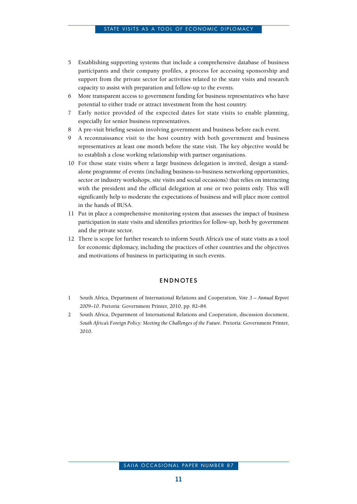- 5 Establishing supporting systems that include a comprehensive database of business participants and their company profiles, a process for accessing sponsorship and support from the private sector for activities related to the state visits and research capacity to assist with preparation and follow-up to the events.
- 6 More transparent access to government funding for business representatives who have potential to either trade or attract investment from the host country.
- 7 Early notice provided of the expected dates for state visits to enable planning, especially for senior business representatives.
- 8 A pre-visit briefing session involving government and business before each event.
- 9 A reconnaissance visit to the host country with both government and business representatives at least one month before the state visit. The key objective would be to establish a close working relationship with partner organisations.
- 10 For those state visits where a large business delegation is invited, design a standalone programme of events (including business-to-business networking opportunities, sector or industry workshops, site visits and social occasions) that relies on interacting with the president and the official delegation at one or two points only. This will significantly help to moderate the expectations of business and will place more control in the hands of BUSA.
- 11 Put in place a comprehensive monitoring system that assesses the impact of business participation in state visits and identifies priorities for follow-up, both by government and the private sector.
- 12 There is scope for further research to inform South Africa's use of state visits as a tool for economic diplomacy, including the practices of other countries and the objectives and motivations of business in participating in such events.

#### **ENDNOTES**

- 1 South Africa, Department of International Relations and Cooperation, *Vote 3 Annual Report 2009–10*. Pretoria: Government Printer, 2010, pp. 82–84.
- 2 South Africa, Department of International Relations and Cooperation, discussion document, *South Africa's Foreign Policy: Meeting the Challenges of the Future*. Pretoria: Government Printer, 2010.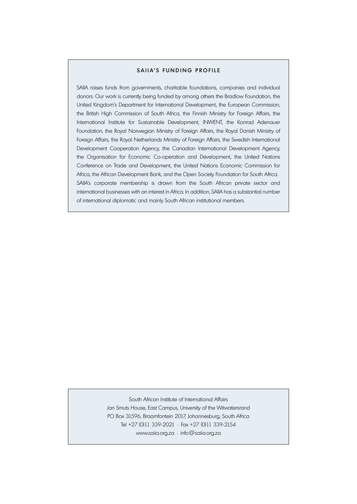#### SAIIA'S FUNDING PROFILE

SAIIA raises funds from governments, charitable foundations, companies and individual donors. Our work is currently being funded by among others the Bradlow Foundation, the United Kingdom's Department for International Development, the European Commission, the British High Commission of South Africa, the Finnish Ministry for Foreign Affairs, the International Institute for Sustainable Development, INWENT, the Konrad Adenauer Foundation, the Royal Norwegian Ministry of Foreign Affairs, the Royal Danish Ministry of Foreign Affairs, the Royal Netherlands Ministry of Foreign Affairs, the Swedish International Development Cooperation Agency, the Canadian International Development Agency, the Organisation for Economic Co-operation and Development, the United Nations Conference on Trade and Development, the United Nations Economic Commission for Africa, the African Development Bank, and the Open Society Foundation for South Africa. SAIIA's corporate membership is drawn from the South African private sector and international businesses with an interest in Africa. In addition, SAIIA has a substantial number of international diplomatic and mainly South African institutional members.

> South African Institute of International Affairs Jan Smuts House, East Campus, University of the Witwatersrand PO Box 31596, Braamfontein 2017, Johannesburg, South Africa Tel +27 (0)11 339-2021 • Fax +27 (0)11 339-2154 www.saiia.org.za • info@saiia.org.za